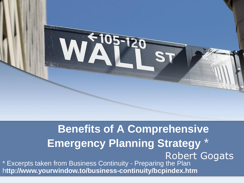

#### **Benefits of A Comprehensive Emergency Planning Strategy** Robert Gogats \* Excerpts taken from Business Continuity - Preparing the Plan h**ttp://www.yourwindow.to/business-continuity/bcpindex.htm**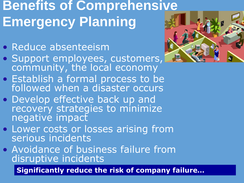# **Benefits of Comprehensive Emergency Planning**

- Reduce absenteeism
- Support employees, customers, community, the local economy
- **Establish a formal process to be** followed when a disaster occurs
- Develop effective back up and recovery strategies to minimize negative impact
- Lower costs or losses arising from serious incidents
- Avoidance of business failure from disruptive incidents

**Significantly reduce the risk of company failure…**

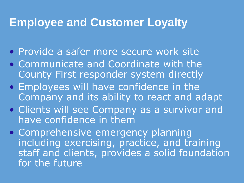#### **Employee and Customer Loyalty**

- Provide a safer more secure work site
- Communicate and Coordinate with the County First responder system directly
- Employees will have confidence in the Company and its ability to react and adapt
- Clients will see Company as a survivor and have confidence in them
- Comprehensive emergency planning including exercising, practice, and training staff and clients, provides a solid foundation for the future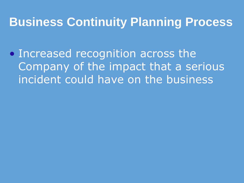#### **Business Continuity Planning Process**

• Increased recognition across the Company of the impact that a serious incident could have on the business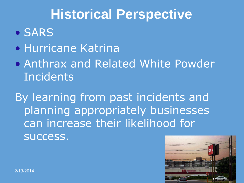### **Historical Perspective**

- SARS
- Hurricane Katrina
- Anthrax and Related White Powder **Incidents**

By learning from past incidents and planning appropriately businesses can increase their likelihood for success.

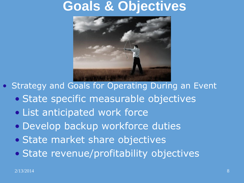#### **Goals & Objectives**



- Strategy and Goals for Operating During an Event
	- State specific measurable objectives
	- List anticipated work force
	- Develop backup workforce duties
	- State market share objectives
	- State revenue/profitability objectives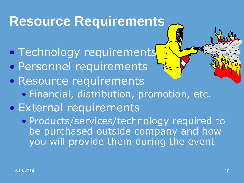# **Resource Requirements**

- **Technology requirements**
- Personnel requirements
- Resource requirements
	- Financial, distribution, promotion, etc.
- External requirements
	- Products/services/technology required to be purchased outside company and how you will provide them during the event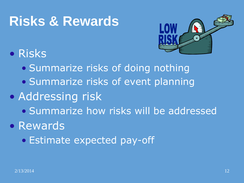### **Risks & Rewards**



#### • Risks

- Summarize risks of doing nothing
- Summarize risks of event planning
- Addressing risk
	- Summarize how risks will be addressed
- Rewards
	- Estimate expected pay-off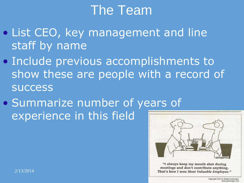### The Team

- List CEO, key management and line staff by name
- Include previous accomplishments to show these are people with a record of success
- Summarize number of years of experience in this field



"I always keep my mouth shut during  $2/13/2014$  and the contribute anything. That's how I won Most Valuable Employee."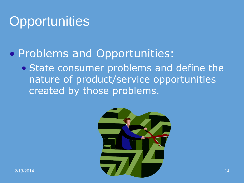### **Opportunities**

#### • Problems and Opportunities:

• State consumer problems and define the nature of product/service opportunities created by those problems.